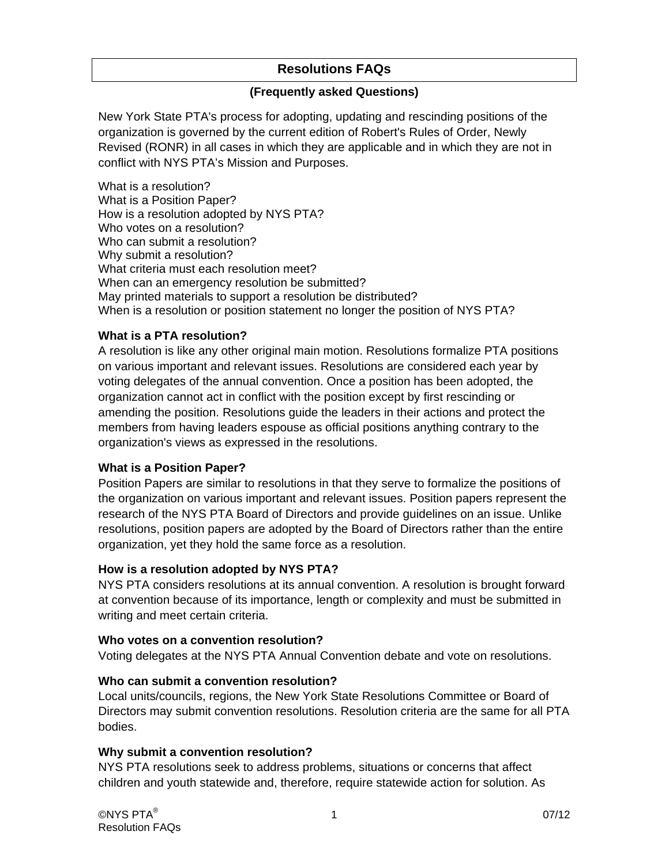# **Resolutions FAQs**

#### **(Frequently asked Questions)**

New York State PTA's process for adopting, updating and rescinding positions of the organization is governed by the current edition of Robert's Rules of Order, Newly Revised (RONR) in all cases in which they are applicable and in which they are not in conflict with NYS PTA's Mission and Purposes.

What is a resolution? What is a Position Paper? How is a resolution adopted by NYS PTA? Who votes on a resolution? Who can submit a resolution? Why submit a resolution? What criteria must each resolution meet? When can an emergency resolution be submitted? May printed materials to support a resolution be distributed? When is a resolution or position statement no longer the position of NYS PTA?

# **What is a PTA resolution?**

A resolution is like any other original main motion. Resolutions formalize PTA positions on various important and relevant issues. Resolutions are considered each year by voting delegates of the annual convention. Once a position has been adopted, the organization cannot act in conflict with the position except by first rescinding or amending the position. Resolutions guide the leaders in their actions and protect the members from having leaders espouse as official positions anything contrary to the organization's views as expressed in the resolutions.

#### **What is a Position Paper?**

Position Papers are similar to resolutions in that they serve to formalize the positions of the organization on various important and relevant issues. Position papers represent the research of the NYS PTA Board of Directors and provide guidelines on an issue. Unlike resolutions, position papers are adopted by the Board of Directors rather than the entire organization, yet they hold the same force as a resolution.

#### **How is a resolution adopted by NYS PTA?**

NYS PTA considers resolutions at its annual convention. A resolution is brought forward at convention because of its importance, length or complexity and must be submitted in writing and meet certain criteria.

#### **Who votes on a convention resolution?**

Voting delegates at the NYS PTA Annual Convention debate and vote on resolutions.

#### **Who can submit a convention resolution?**

Local units/councils, regions, the New York State Resolutions Committee or Board of Directors may submit convention resolutions. Resolution criteria are the same for all PTA bodies.

#### **Why submit a convention resolution?**

NYS PTA resolutions seek to address problems, situations or concerns that affect children and youth statewide and, therefore, require statewide action for solution. As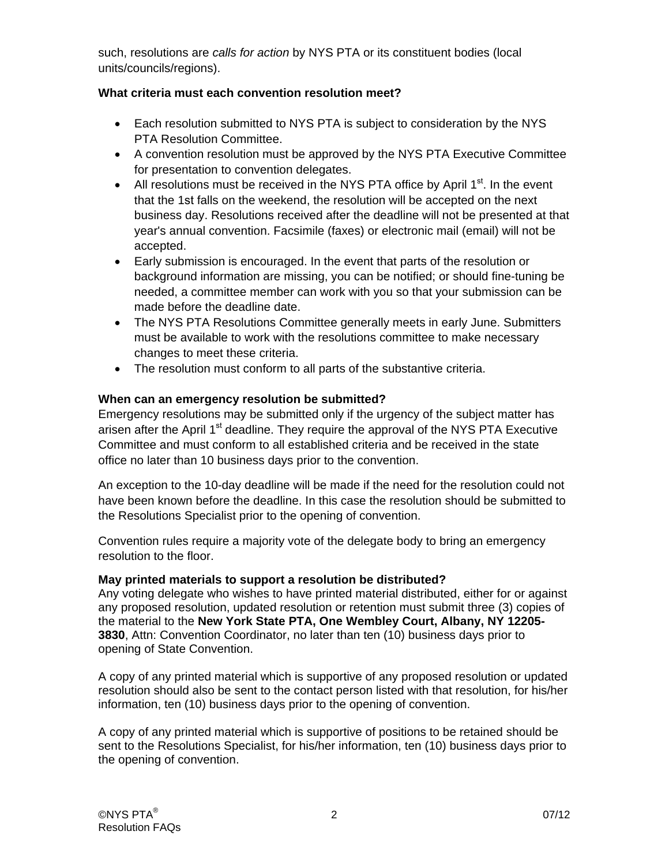such, resolutions are *calls for action* by NYS PTA or its constituent bodies (local units/councils/regions).

# **What criteria must each convention resolution meet?**

- Each resolution submitted to NYS PTA is subject to consideration by the NYS PTA Resolution Committee.
- A convention resolution must be approved by the NYS PTA Executive Committee for presentation to convention delegates.
- All resolutions must be received in the NYS PTA office by April  $1<sup>st</sup>$ . In the event that the 1st falls on the weekend, the resolution will be accepted on the next business day. Resolutions received after the deadline will not be presented at that year's annual convention. Facsimile (faxes) or electronic mail (email) will not be accepted.
- Early submission is encouraged. In the event that parts of the resolution or background information are missing, you can be notified; or should fine-tuning be needed, a committee member can work with you so that your submission can be made before the deadline date.
- The NYS PTA Resolutions Committee generally meets in early June. Submitters must be available to work with the resolutions committee to make necessary changes to meet these criteria.
- The resolution must conform to all parts of the substantive criteria.

# **When can an emergency resolution be submitted?**

Emergency resolutions may be submitted only if the urgency of the subject matter has arisen after the April  $1<sup>st</sup>$  deadline. They require the approval of the NYS PTA Executive Committee and must conform to all established criteria and be received in the state office no later than 10 business days prior to the convention.

An exception to the 10-day deadline will be made if the need for the resolution could not have been known before the deadline. In this case the resolution should be submitted to the Resolutions Specialist prior to the opening of convention.

Convention rules require a majority vote of the delegate body to bring an emergency resolution to the floor.

#### **May printed materials to support a resolution be distributed?**

Any voting delegate who wishes to have printed material distributed, either for or against any proposed resolution, updated resolution or retention must submit three (3) copies of the material to the **New York State PTA, One Wembley Court, Albany, NY 12205- 3830**, Attn: Convention Coordinator, no later than ten (10) business days prior to opening of State Convention.

A copy of any printed material which is supportive of any proposed resolution or updated resolution should also be sent to the contact person listed with that resolution, for his/her information, ten (10) business days prior to the opening of convention.

A copy of any printed material which is supportive of positions to be retained should be sent to the Resolutions Specialist, for his/her information, ten (10) business days prior to the opening of convention.